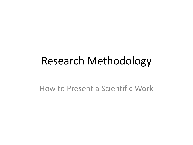#### Research Methodology

How to Present a Scientific Work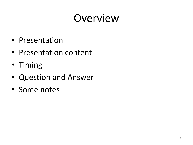# Overview

- Presentation
- Presentation content
- Timing
- Question and Answer
- Some notes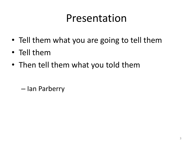#### Presentation

- Tell them what you are going to tell them
- Tell them
- Then tell them what you told them

– Ian Parberry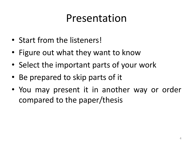#### Presentation

- Start from the listeners!
- Figure out what they want to know
- Select the important parts of your work
- Be prepared to skip parts of it
- You may present it in another way or order compared to the paper/thesis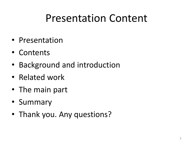#### Presentation Content

- Presentation
- Contents
- Background and introduction
- Related work
- The main part
- Summary
- Thank you. Any questions?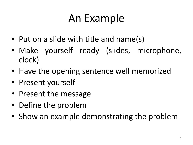# An Example

- Put on a slide with title and name(s)
- Make yourself ready (slides, microphone, clock)
- Have the opening sentence well memorized
- Present yourself
- Present the message
- Define the problem
- Show an example demonstrating the problem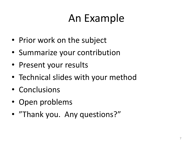# An Example

- Prior work on the subject
- Summarize your contribution
- Present your results
- Technical slides with your method
- Conclusions
- Open problems
- "Thank you. Any questions?"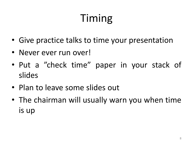# Timing

- Give practice talks to time your presentation
- Never ever run over!
- Put a "check time" paper in your stack of slides
- Plan to leave some slides out
- The chairman will usually warn you when time is up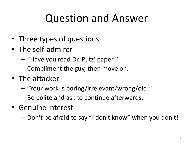## Question and Answer

- Three types of questions
- The self-admirer
	- "Have you read Dr. Putz' paper?"
	- Compliment the guy, then move on.
- The attacker
	- "Your work is boring/irrelevant/wrong/old!"
	- Be polite and ask to continue afterwards.
- Genuine interest
	- Don't be afraid to say "I don't know" when you don't!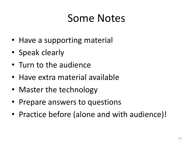- Have a supporting material
- Speak clearly
- Turn to the audience
- Have extra material available
- Master the technology
- Prepare answers to questions
- Practice before (alone and with audience)!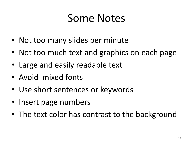- Not too many slides per minute
- Not too much text and graphics on each page
- Large and easily readable text
- Avoid mixed fonts
- Use short sentences or keywords
- Insert page numbers
- The text color has contrast to the background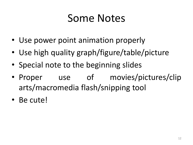- Use power point animation properly
- Use high quality graph/figure/table/picture
- Special note to the beginning slides
- Proper use of movies/pictures/clip arts/macromedia flash/snipping tool
- Be cute!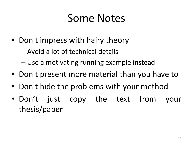- Don't impress with hairy theory
	- Avoid a lot of technical details
	- Use a motivating running example instead
- Don't present more material than you have to
- Don't hide the problems with your method
- Don't just copy the text from your thesis/paper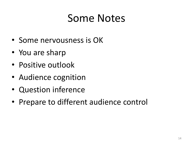- Some nervousness is OK
- You are sharp
- Positive outlook
- Audience cognition
- Question inference
- Prepare to different audience control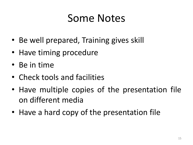- Be well prepared, Training gives skill
- Have timing procedure
- Be in time
- Check tools and facilities
- Have multiple copies of the presentation file on different media
- Have a hard copy of the presentation file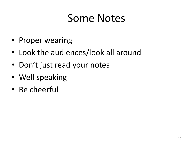- Proper wearing
- Look the audiences/look all around
- Don't just read your notes
- Well speaking
- Be cheerful